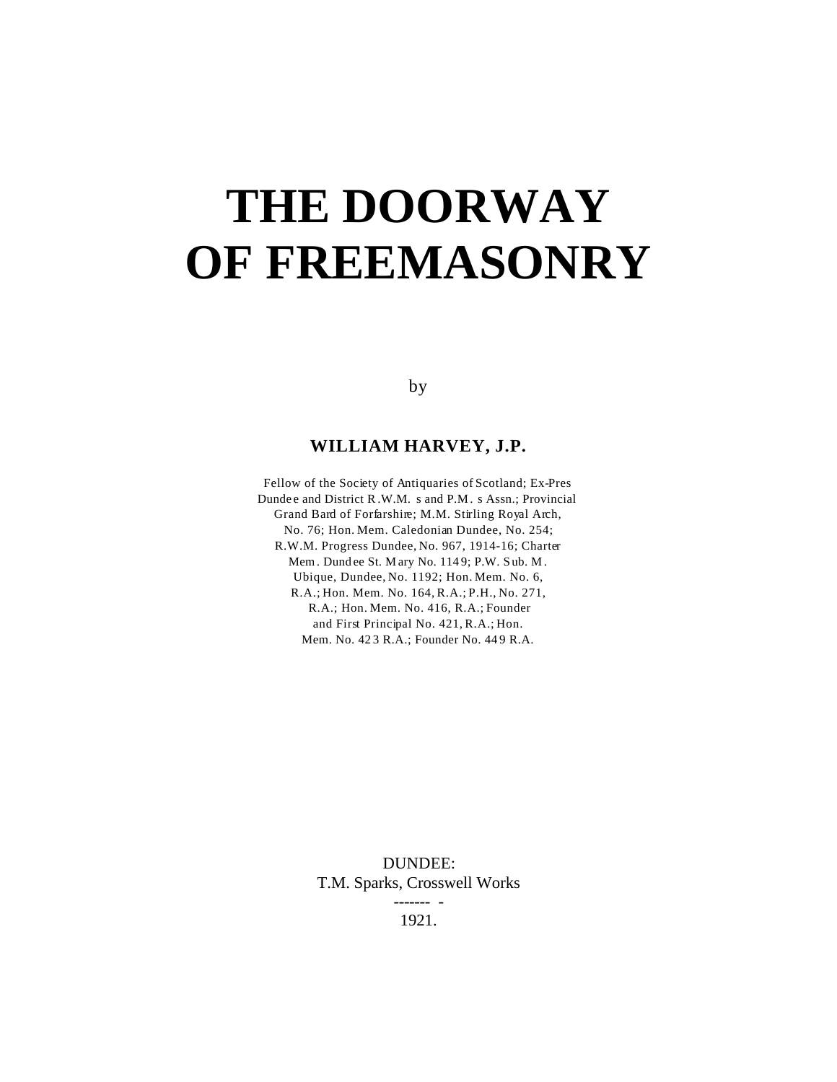# **THE DOORWAY OF FREEMASONRY**

by

#### **WILLIAM HARVEY, J.P.**

Fellow of the Society of Antiquaries of Scotland; Ex-Pres Dunde e and District R .W.M. s and P.M. s Assn.; Provincial Grand Bard of Forfarshire; M.M. Stirling Royal Arch, No. 76; Hon. Mem. Caledonian Dundee, No. 254; R.W.M. Progress Dundee, No. 967, 1914-16; Charter Mem. Dund ee St. M ary No. 114 9; P.W. Sub. M. Ubique, Dundee, No. 1192; Hon. Mem. No. 6, R.A.; Hon. Mem. No. 164, R.A.; P.H., No. 271, R.A.; Hon. Mem. No. 416, R.A.; Founder and First Principal No. 421, R.A.; Hon. Mem. No. 42 3 R.A.; Founder No. 44 9 R.A.

> DUNDEE: T.M. Sparks, Crosswell Works ------- - 1921.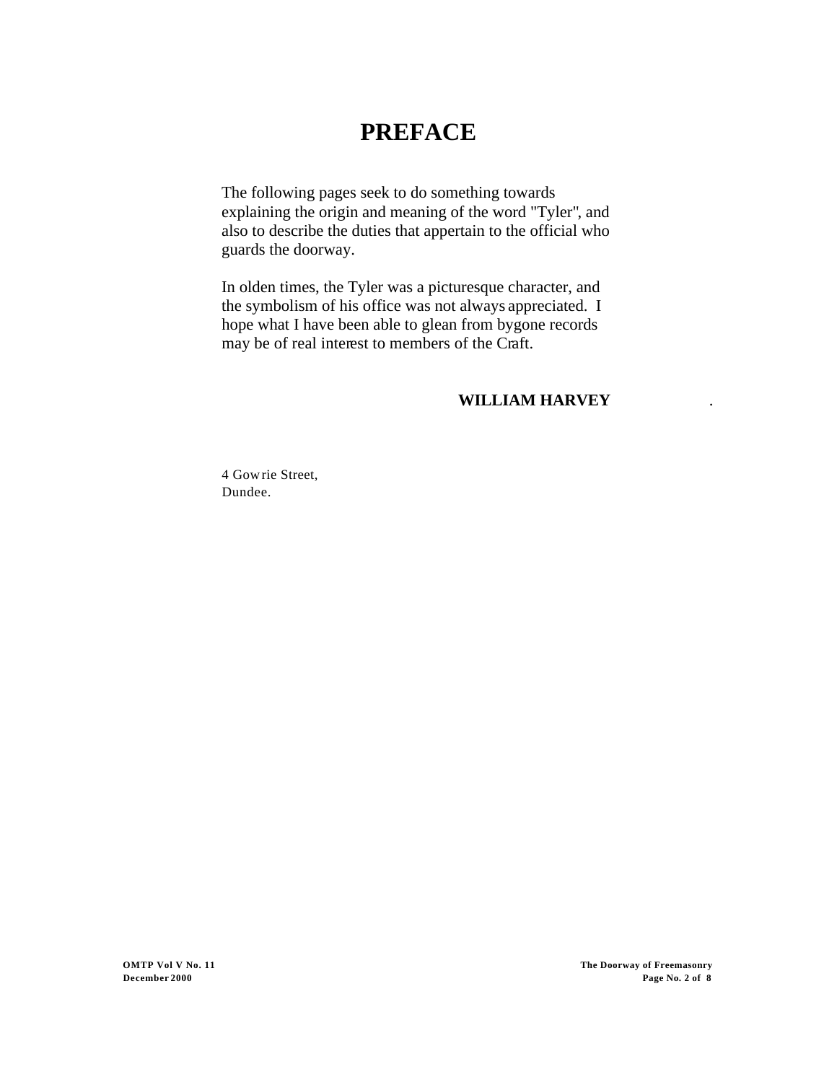## **PREFACE**

The following pages seek to do something towards explaining the origin and meaning of the word "Tyler", and also to describe the duties that appertain to the official who guards the doorway.

In olden times, the Tyler was a picturesque character, and the symbolism of his office was not always appreciated. I hope what I have been able to glean from bygone records may be of real interest to members of the Craft.

### **WILLIAM HARVEY** .

4 Gowrie Street, Dundee.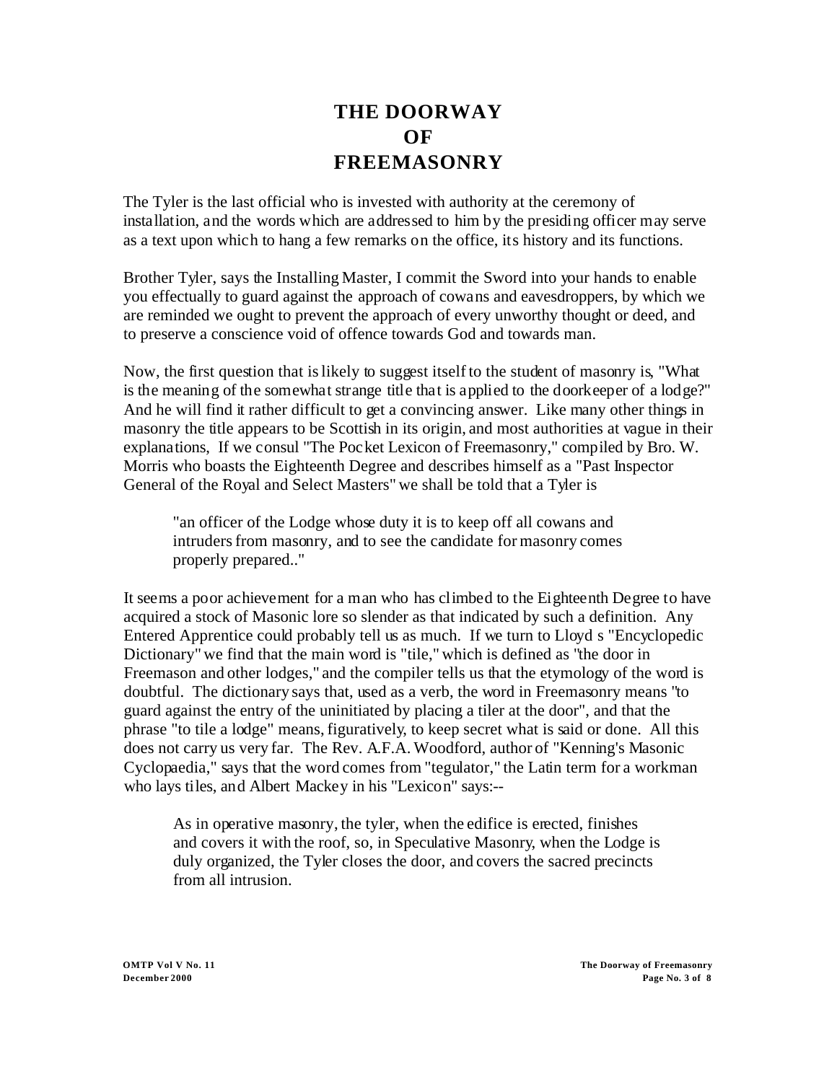## **THE DOORWAY OF FREEMASONRY**

The Tyler is the last official who is invested with authority at the ceremony of installation, and the words which are addressed to him by the presiding officer may serve as a text upon which to hang a few remarks on the office, its history and its functions.

Brother Tyler, says the Installing Master, I commit the Sword into your hands to enable you effectually to guard against the approach of cowans and eavesdroppers, by which we are reminded we ought to prevent the approach of every unworthy thought or deed, and to preserve a conscience void of offence towards God and towards man.

Now, the first question that is likely to suggest itself to the student of masonry is, "What is the meaning of the somewhat strange title that is applied to the doorkeeper of a lodge?" And he will find it rather difficult to get a convincing answer. Like many other things in masonry the title appears to be Scottish in its origin, and most authorities at vague in their explanations, If we consul "The Pocket Lexicon of Freemasonry," compiled by Bro. W. Morris who boasts the Eighteenth Degree and describes himself as a "Past Inspector General of the Royal and Select Masters" we shall be told that a Tyler is

"an officer of the Lodge whose duty it is to keep off all cowans and intruders from masonry, and to see the candidate for masonry comes properly prepared.."

It seems a poor achievement for a man who has climbed to the Eighteenth Degree to have acquired a stock of Masonic lore so slender as that indicated by such a definition. Any Entered Apprentice could probably tell us as much. If we turn to Lloyd s "Encyclopedic Dictionary" we find that the main word is "tile," which is defined as "the door in Freemason and other lodges," and the compiler tells us that the etymology of the word is doubtful. The dictionary says that, used as a verb, the word in Freemasonry means "to guard against the entry of the uninitiated by placing a tiler at the door", and that the phrase "to tile a lodge" means, figuratively, to keep secret what is said or done. All this does not carry us very far. The Rev. A.F.A. Woodford, author of "Kenning's Masonic Cyclopaedia," says that the word comes from "tegulator," the Latin term for a workman who lays tiles, and Albert Mackey in his "Lexicon" says:--

As in operative masonry, the tyler, when the edifice is erected, finishes and covers it with the roof, so, in Speculative Masonry, when the Lodge is duly organized, the Tyler closes the door, and covers the sacred precincts from all intrusion.

**OMTP Vol V No. 11 The Doorway of Freemasonry December 2000 Page No. 3 of 8**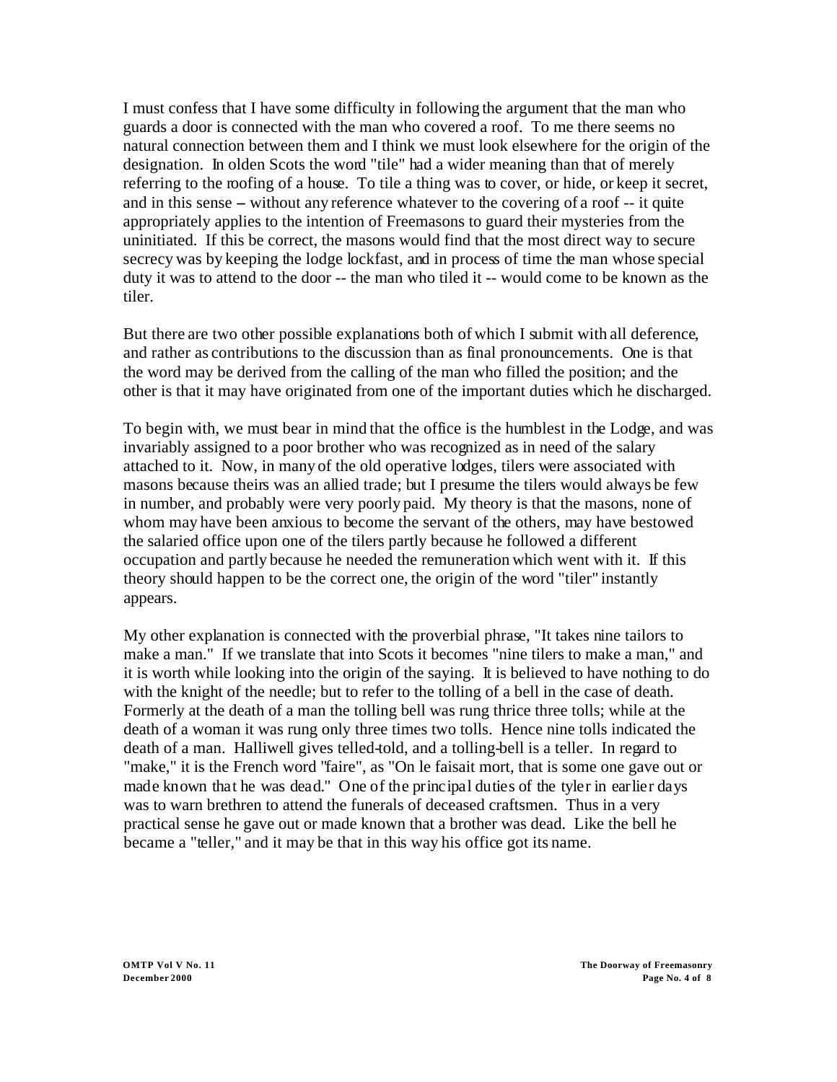I must confess that I have some difficulty in following the argument that the man who guards a door is connected with the man who covered a roof. To me there seems no natural connection between them and I think we must look elsewhere for the origin of the designation. In olden Scots the word "tile" had a wider meaning than that of merely referring to the roofing of a house. To tile a thing was to cover, or hide, or keep it secret, and in this sense – without any reference whatever to the covering of a roof -- it quite appropriately applies to the intention of Freemasons to guard their mysteries from the uninitiated. If this be correct, the masons would find that the most direct way to secure secrecy was by keeping the lodge lockfast, and in process of time the man whose special duty it was to attend to the door -- the man who tiled it -- would come to be known as the tiler.

But there are two other possible explanations both of which I submit with all deference, and rather as contributions to the discussion than as final pronouncements. One is that the word may be derived from the calling of the man who filled the position; and the other is that it may have originated from one of the important duties which he discharged.

To begin with, we must bear in mind that the office is the humblest in the Lodge, and was invariably assigned to a poor brother who was recognized as in need of the salary attached to it. Now, in many of the old operative lodges, tilers were associated with masons because theirs was an allied trade; but I presume the tilers would always be few in number, and probably were very poorly paid. My theory is that the masons, none of whom may have been anxious to become the servant of the others, may have bestowed the salaried office upon one of the tilers partly because he followed a different occupation and partly because he needed the remuneration which went with it. If this theory should happen to be the correct one, the origin of the word "tiler" instantly appears.

My other explanation is connected with the proverbial phrase, "It takes nine tailors to make a man." If we translate that into Scots it becomes "nine tilers to make a man," and it is worth while looking into the origin of the saying. It is believed to have nothing to do with the knight of the needle; but to refer to the tolling of a bell in the case of death. Formerly at the death of a man the tolling bell was rung thrice three tolls; while at the death of a woman it was rung only three times two tolls. Hence nine tolls indicated the death of a man. Halliwell gives telled-told, and a tolling-bell is a teller. In regard to "make," it is the French word "faire", as "On le faisait mort, that is some one gave out or made known that he was dead." One of the principal duties of the tyler in earlier days was to warn brethren to attend the funerals of deceased craftsmen. Thus in a very practical sense he gave out or made known that a brother was dead. Like the bell he became a "teller," and it may be that in this way his office got its name.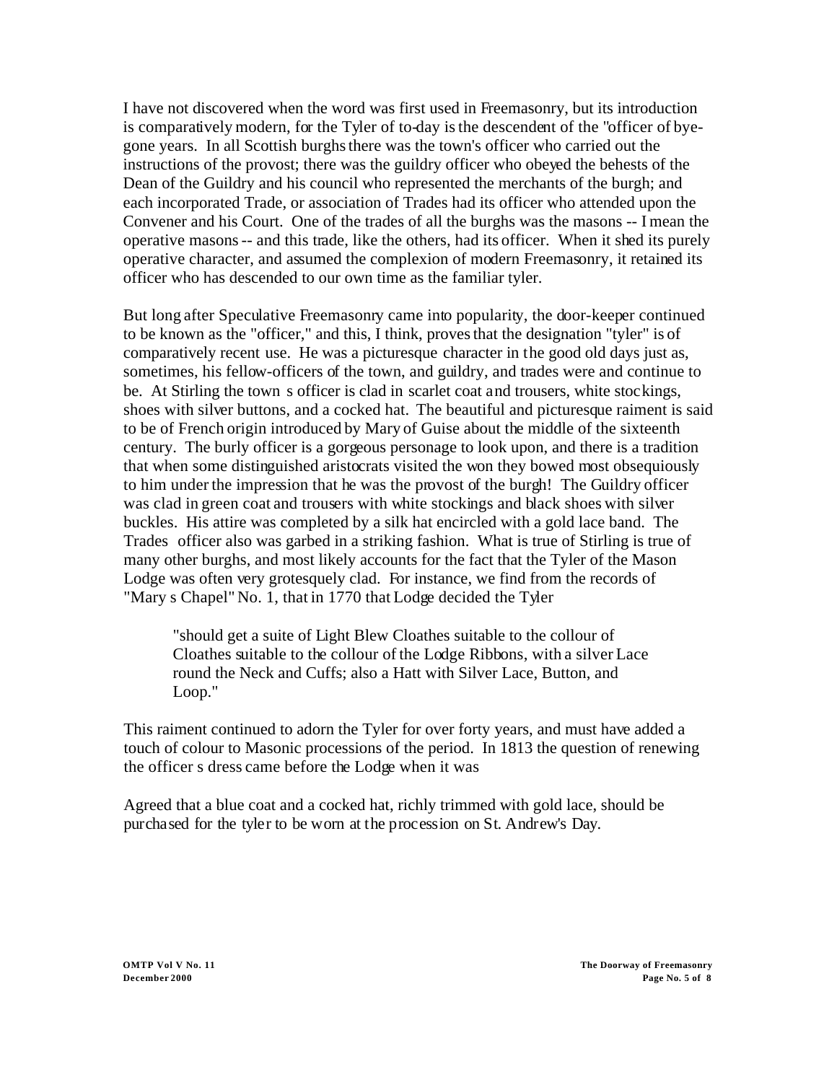I have not discovered when the word was first used in Freemasonry, but its introduction is comparatively modern, for the Tyler of to-day is the descendent of the "officer of byegone years. In all Scottish burghs there was the town's officer who carried out the instructions of the provost; there was the guildry officer who obeyed the behests of the Dean of the Guildry and his council who represented the merchants of the burgh; and each incorporated Trade, or association of Trades had its officer who attended upon the Convener and his Court. One of the trades of all the burghs was the masons -- I mean the operative masons -- and this trade, like the others, had its officer. When it shed its purely operative character, and assumed the complexion of modern Freemasonry, it retained its officer who has descended to our own time as the familiar tyler.

But long after Speculative Freemasonry came into popularity, the door-keeper continued to be known as the "officer," and this, I think, proves that the designation "tyler" is of comparatively recent use. He was a picturesque character in the good old days just as, sometimes, his fellow-officers of the town, and guildry, and trades were and continue to be. At Stirling the town s officer is clad in scarlet coat and trousers, white stockings, shoes with silver buttons, and a cocked hat. The beautiful and picturesque raiment is said to be of French origin introduced by Mary of Guise about the middle of the sixteenth century. The burly officer is a gorgeous personage to look upon, and there is a tradition that when some distinguished aristocrats visited the won they bowed most obsequiously to him under the impression that he was the provost of the burgh! The Guildry officer was clad in green coat and trousers with white stockings and black shoes with silver buckles. His attire was completed by a silk hat encircled with a gold lace band. The Trades officer also was garbed in a striking fashion. What is true of Stirling is true of many other burghs, and most likely accounts for the fact that the Tyler of the Mason Lodge was often very grotesquely clad. For instance, we find from the records of "Mary s Chapel" No. 1, that in 1770 that Lodge decided the Tyler

"should get a suite of Light Blew Cloathes suitable to the collour of Cloathes suitable to the collour of the Lodge Ribbons, with a silver Lace round the Neck and Cuffs; also a Hatt with Silver Lace, Button, and Loop."

This raiment continued to adorn the Tyler for over forty years, and must have added a touch of colour to Masonic processions of the period. In 1813 the question of renewing the officer s dress came before the Lodge when it was

Agreed that a blue coat and a cocked hat, richly trimmed with gold lace, should be purchased for the tyler to be worn at the procession on St. Andrew's Day.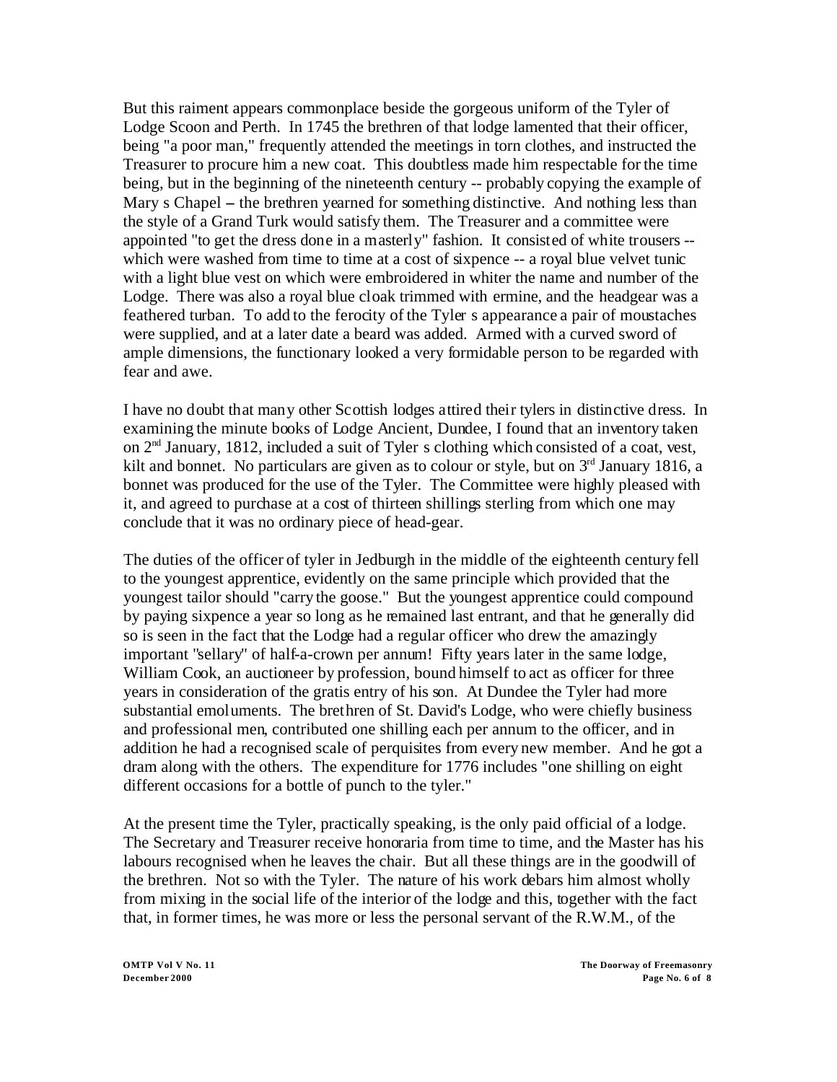But this raiment appears commonplace beside the gorgeous uniform of the Tyler of Lodge Scoon and Perth. In 1745 the brethren of that lodge lamented that their officer, being "a poor man," frequently attended the meetings in torn clothes, and instructed the Treasurer to procure him a new coat. This doubtless made him respectable for the time being, but in the beginning of the nineteenth century -- probably copying the example of Mary s Chapel – the brethren yearned for something distinctive. And nothing less than the style of a Grand Turk would satisfy them. The Treasurer and a committee were appointed "to get the dress done in a masterly" fashion. It consisted of white trousers - which were washed from time to time at a cost of sixpence -- a royal blue velvet tunic with a light blue vest on which were embroidered in whiter the name and number of the Lodge. There was also a royal blue cloak trimmed with ermine, and the headgear was a feathered turban. To add to the ferocity of the Tyler s appearance a pair of moustaches were supplied, and at a later date a beard was added. Armed with a curved sword of ample dimensions, the functionary looked a very formidable person to be regarded with fear and awe.

I have no doubt that many other Scottish lodges attired their tylers in distinctive dress. In examining the minute books of Lodge Ancient, Dundee, I found that an inventory taken on 2nd January, 1812, included a suit of Tyler s clothing which consisted of a coat, vest, kilt and bonnet. No particulars are given as to colour or style, but on  $3<sup>rd</sup>$  January 1816, a bonnet was produced for the use of the Tyler. The Committee were highly pleased with it, and agreed to purchase at a cost of thirteen shillings sterling from which one may conclude that it was no ordinary piece of head-gear.

The duties of the officer of tyler in Jedburgh in the middle of the eighteenth century fell to the youngest apprentice, evidently on the same principle which provided that the youngest tailor should "carry the goose." But the youngest apprentice could compound by paying sixpence a year so long as he remained last entrant, and that he generally did so is seen in the fact that the Lodge had a regular officer who drew the amazingly important "sellary" of half-a-crown per annum! Fifty years later in the same lodge, William Cook, an auctioneer by profession, bound himself to act as officer for three years in consideration of the gratis entry of his son. At Dundee the Tyler had more substantial emoluments. The brethren of St. David's Lodge, who were chiefly business and professional men, contributed one shilling each per annum to the officer, and in addition he had a recognised scale of perquisites from every new member. And he got a dram along with the others. The expenditure for 1776 includes "one shilling on eight different occasions for a bottle of punch to the tyler."

At the present time the Tyler, practically speaking, is the only paid official of a lodge. The Secretary and Treasurer receive honoraria from time to time, and the Master has his labours recognised when he leaves the chair. But all these things are in the goodwill of the brethren. Not so with the Tyler. The nature of his work debars him almost wholly from mixing in the social life of the interior of the lodge and this, together with the fact that, in former times, he was more or less the personal servant of the R.W.M., of the

**OMTP Vol V No. 11 The Doorway of Freemasonry December 2000 Page No. 6 of 8**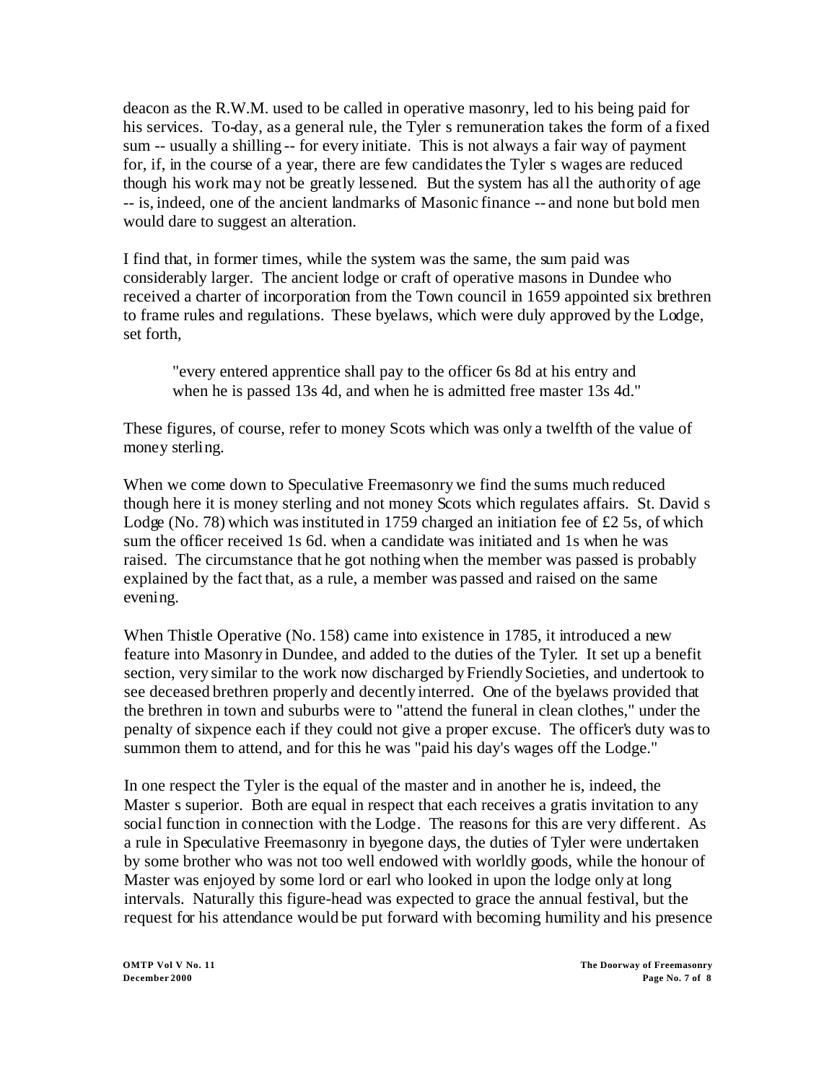deacon as the R.W.M. used to be called in operative masonry, led to his being paid for his services. To-day, as a general rule, the Tyler s remuneration takes the form of a fixed sum -- usually a shilling -- for every initiate. This is not always a fair way of payment for, if, in the course of a year, there are few candidates the Tyler s wages are reduced though his work may not be greatly lessened. But the system has all the authority of age -- is, indeed, one of the ancient landmarks of Masonic finance -- and none but bold men would dare to suggest an alteration.

I find that, in former times, while the system was the same, the sum paid was considerably larger. The ancient lodge or craft of operative masons in Dundee who received a charter of incorporation from the Town council in 1659 appointed six brethren to frame rules and regulations. These byelaws, which were duly approved by the Lodge, set forth,

"every entered apprentice shall pay to the officer 6s 8d at his entry and when he is passed 13s 4d, and when he is admitted free master 13s 4d."

These figures, of course, refer to money Scots which was only a twelfth of the value of money sterling.

When we come down to Speculative Freemasonry we find the sums much reduced though here it is money sterling and not money Scots which regulates affairs. St. David s Lodge (No. 78) which was instituted in 1759 charged an initiation fee of  $\pounds$ 2 5s, of which sum the officer received 1s 6d. when a candidate was initiated and 1s when he was raised. The circumstance that he got nothing when the member was passed is probably explained by the fact that, as a rule, a member was passed and raised on the same evening.

When Thistle Operative (No. 158) came into existence in 1785, it introduced a new feature into Masonry in Dundee, and added to the duties of the Tyler. It set up a benefit section, very similar to the work now discharged by Friendly Societies, and undertook to see deceased brethren properly and decently interred. One of the byelaws provided that the brethren in town and suburbs were to "attend the funeral in clean clothes," under the penalty of sixpence each if they could not give a proper excuse. The officer's duty was to summon them to attend, and for this he was "paid his day's wages off the Lodge."

In one respect the Tyler is the equal of the master and in another he is, indeed, the Master s superior. Both are equal in respect that each receives a gratis invitation to any social function in connection with the Lodge. The reasons for this are very different. As a rule in Speculative Freemasonry in byegone days, the duties of Tyler were undertaken by some brother who was not too well endowed with worldly goods, while the honour of Master was enjoyed by some lord or earl who looked in upon the lodge only at long intervals. Naturally this figure-head was expected to grace the annual festival, but the request for his attendance would be put forward with becoming humility and his presence

**OMTP Vol V No. 11 The Doorway of Freemasonry December 2000 Page No. 7 of 8**